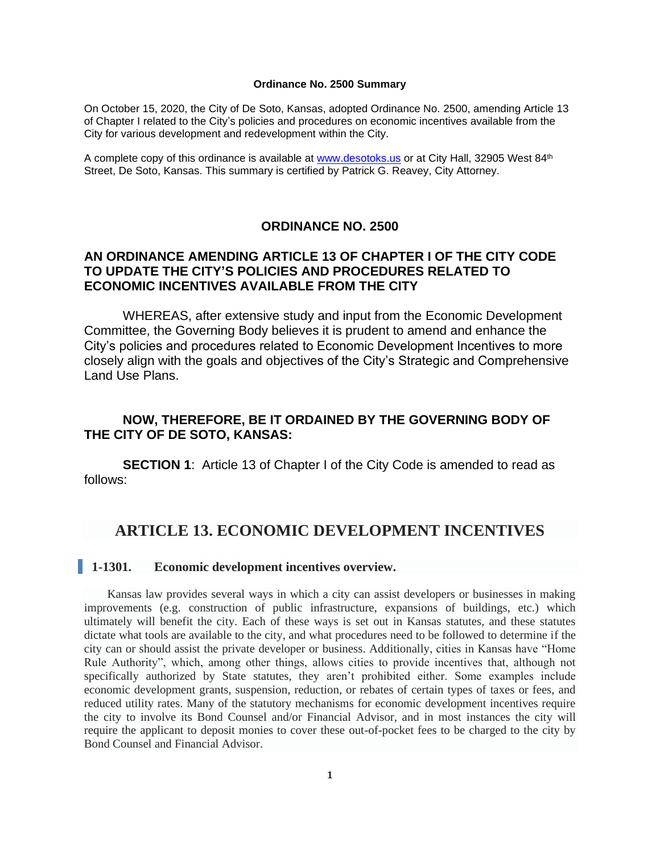#### **Ordinance No. 2500 Summary**

On October 15, 2020, the City of De Soto, Kansas, adopted Ordinance No. 2500, amending Article 13 of Chapter I related to the City's policies and procedures on economic incentives available from the City for various development and redevelopment within the City.

A complete copy of this ordinance is available at [www.desotoks.us](http://www.desotoks.us/) or at City Hall, 32905 West 84th Street, De Soto, Kansas. This summary is certified by Patrick G. Reavey, City Attorney.

# **ORDINANCE NO. 2500**

# **AN ORDINANCE AMENDING ARTICLE 13 OF CHAPTER I OF THE CITY CODE TO UPDATE THE CITY'S POLICIES AND PROCEDURES RELATED TO ECONOMIC INCENTIVES AVAILABLE FROM THE CITY**

WHEREAS, after extensive study and input from the Economic Development Committee, the Governing Body believes it is prudent to amend and enhance the City's policies and procedures related to Economic Development Incentives to more closely align with the goals and objectives of the City's Strategic and Comprehensive Land Use Plans.

# **NOW, THEREFORE, BE IT ORDAINED BY THE GOVERNING BODY OF THE CITY OF DE SOTO, KANSAS:**

**SECTION 1**: Article 13 of Chapter I of the City Code is amended to read as follows:

# **ARTICLE 13. ECONOMIC DEVELOPMENT INCENTIVES**

#### **1-1301. Economic development incentives overview.**

Kansas law provides several ways in which a city can assist developers or businesses in making improvements (e.g. construction of public infrastructure, expansions of buildings, etc.) which ultimately will benefit the city. Each of these ways is set out in Kansas statutes, and these statutes dictate what tools are available to the city, and what procedures need to be followed to determine if the city can or should assist the private developer or business. Additionally, cities in Kansas have "Home Rule Authority", which, among other things, allows cities to provide incentives that, although not specifically authorized by State statutes, they aren't prohibited either. Some examples include economic development grants, suspension, reduction, or rebates of certain types of taxes or fees, and reduced utility rates. Many of the statutory mechanisms for economic development incentives require the city to involve its Bond Counsel and/or Financial Advisor, and in most instances the city will require the applicant to deposit monies to cover these out-of-pocket fees to be charged to the city by Bond Counsel and Financial Advisor.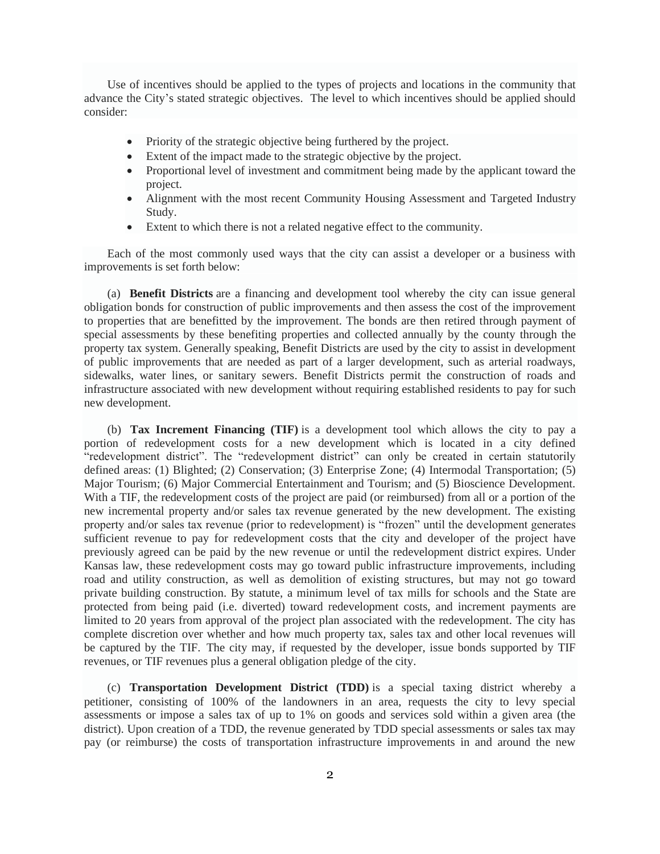Use of incentives should be applied to the types of projects and locations in the community that advance the City's stated strategic objectives. The level to which incentives should be applied should consider:

- Priority of the strategic objective being furthered by the project.
- Extent of the impact made to the strategic objective by the project.
- Proportional level of investment and commitment being made by the applicant toward the project.
- Alignment with the most recent Community Housing Assessment and Targeted Industry Study.
- Extent to which there is not a related negative effect to the community.

Each of the most commonly used ways that the city can assist a developer or a business with improvements is set forth below:

(a) **Benefit Districts** are a financing and development tool whereby the city can issue general obligation bonds for construction of public improvements and then assess the cost of the improvement to properties that are benefitted by the improvement. The bonds are then retired through payment of special assessments by these benefiting properties and collected annually by the county through the property tax system. Generally speaking, Benefit Districts are used by the city to assist in development of public improvements that are needed as part of a larger development, such as arterial roadways, sidewalks, water lines, or sanitary sewers. Benefit Districts permit the construction of roads and infrastructure associated with new development without requiring established residents to pay for such new development.

(b) **Tax Increment Financing (TIF)** is a development tool which allows the city to pay a portion of redevelopment costs for a new development which is located in a city defined "redevelopment district". The "redevelopment district" can only be created in certain statutorily defined areas: (1) Blighted; (2) Conservation; (3) Enterprise Zone; (4) Intermodal Transportation; (5) Major Tourism; (6) Major Commercial Entertainment and Tourism; and (5) Bioscience Development. With a TIF, the redevelopment costs of the project are paid (or reimbursed) from all or a portion of the new incremental property and/or sales tax revenue generated by the new development. The existing property and/or sales tax revenue (prior to redevelopment) is "frozen" until the development generates sufficient revenue to pay for redevelopment costs that the city and developer of the project have previously agreed can be paid by the new revenue or until the redevelopment district expires. Under Kansas law, these redevelopment costs may go toward public infrastructure improvements, including road and utility construction, as well as demolition of existing structures, but may not go toward private building construction. By statute, a minimum level of tax mills for schools and the State are protected from being paid (i.e. diverted) toward redevelopment costs, and increment payments are limited to 20 years from approval of the project plan associated with the redevelopment. The city has complete discretion over whether and how much property tax, sales tax and other local revenues will be captured by the TIF. The city may, if requested by the developer, issue bonds supported by TIF revenues, or TIF revenues plus a general obligation pledge of the city.

(c) **Transportation Development District (TDD)** is a special taxing district whereby a petitioner, consisting of 100% of the landowners in an area, requests the city to levy special assessments or impose a sales tax of up to 1% on goods and services sold within a given area (the district). Upon creation of a TDD, the revenue generated by TDD special assessments or sales tax may pay (or reimburse) the costs of transportation infrastructure improvements in and around the new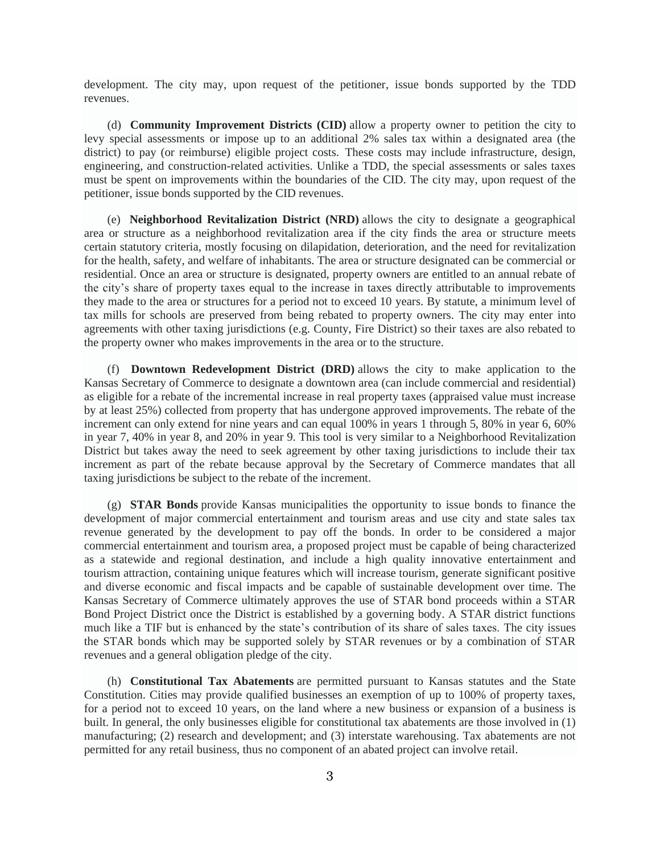development. The city may, upon request of the petitioner, issue bonds supported by the TDD revenues.

(d) **Community Improvement Districts (CID)** allow a property owner to petition the city to levy special assessments or impose up to an additional 2% sales tax within a designated area (the district) to pay (or reimburse) eligible project costs. These costs may include infrastructure, design, engineering, and construction-related activities. Unlike a TDD, the special assessments or sales taxes must be spent on improvements within the boundaries of the CID. The city may, upon request of the petitioner, issue bonds supported by the CID revenues.

(e) **Neighborhood Revitalization District (NRD)** allows the city to designate a geographical area or structure as a neighborhood revitalization area if the city finds the area or structure meets certain statutory criteria, mostly focusing on dilapidation, deterioration, and the need for revitalization for the health, safety, and welfare of inhabitants. The area or structure designated can be commercial or residential. Once an area or structure is designated, property owners are entitled to an annual rebate of the city's share of property taxes equal to the increase in taxes directly attributable to improvements they made to the area or structures for a period not to exceed 10 years. By statute, a minimum level of tax mills for schools are preserved from being rebated to property owners. The city may enter into agreements with other taxing jurisdictions (e.g. County, Fire District) so their taxes are also rebated to the property owner who makes improvements in the area or to the structure.

(f) **Downtown Redevelopment District (DRD)** allows the city to make application to the Kansas Secretary of Commerce to designate a downtown area (can include commercial and residential) as eligible for a rebate of the incremental increase in real property taxes (appraised value must increase by at least 25%) collected from property that has undergone approved improvements. The rebate of the increment can only extend for nine years and can equal 100% in years 1 through 5, 80% in year 6, 60% in year 7, 40% in year 8, and 20% in year 9. This tool is very similar to a Neighborhood Revitalization District but takes away the need to seek agreement by other taxing jurisdictions to include their tax increment as part of the rebate because approval by the Secretary of Commerce mandates that all taxing jurisdictions be subject to the rebate of the increment.

(g) **STAR Bonds** provide Kansas municipalities the opportunity to issue bonds to finance the development of major commercial entertainment and tourism areas and use city and state sales tax revenue generated by the development to pay off the bonds. In order to be considered a major commercial entertainment and tourism area, a proposed project must be capable of being characterized as a statewide and regional destination, and include a high quality innovative entertainment and tourism attraction, containing unique features which will increase tourism, generate significant positive and diverse economic and fiscal impacts and be capable of sustainable development over time. The Kansas Secretary of Commerce ultimately approves the use of STAR bond proceeds within a STAR Bond Project District once the District is established by a governing body. A STAR district functions much like a TIF but is enhanced by the state's contribution of its share of sales taxes. The city issues the STAR bonds which may be supported solely by STAR revenues or by a combination of STAR revenues and a general obligation pledge of the city.

(h) **Constitutional Tax Abatements** are permitted pursuant to Kansas statutes and the State Constitution. Cities may provide qualified businesses an exemption of up to 100% of property taxes, for a period not to exceed 10 years, on the land where a new business or expansion of a business is built. In general, the only businesses eligible for constitutional tax abatements are those involved in (1) manufacturing; (2) research and development; and (3) interstate warehousing. Tax abatements are not permitted for any retail business, thus no component of an abated project can involve retail.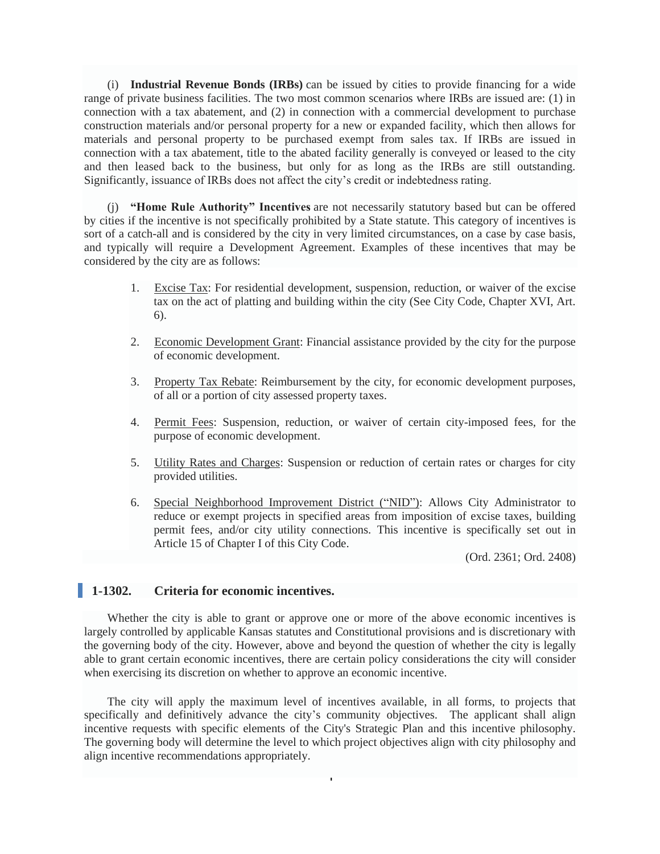(i) **Industrial Revenue Bonds (IRBs)** can be issued by cities to provide financing for a wide range of private business facilities. The two most common scenarios where IRBs are issued are: (1) in connection with a tax abatement, and (2) in connection with a commercial development to purchase construction materials and/or personal property for a new or expanded facility, which then allows for materials and personal property to be purchased exempt from sales tax. If IRBs are issued in connection with a tax abatement, title to the abated facility generally is conveyed or leased to the city and then leased back to the business, but only for as long as the IRBs are still outstanding. Significantly, issuance of IRBs does not affect the city's credit or indebtedness rating.

(j) **"Home Rule Authority" Incentives** are not necessarily statutory based but can be offered by cities if the incentive is not specifically prohibited by a State statute. This category of incentives is sort of a catch-all and is considered by the city in very limited circumstances, on a case by case basis, and typically will require a Development Agreement. Examples of these incentives that may be considered by the city are as follows:

- 1. Excise Tax: For residential development, suspension, reduction, or waiver of the excise tax on the act of platting and building within the city (See City Code, Chapter XVI, Art. 6).
- 2. Economic Development Grant: Financial assistance provided by the city for the purpose of economic development.
- 3. Property Tax Rebate: Reimbursement by the city, for economic development purposes, of all or a portion of city assessed property taxes.
- 4. Permit Fees: Suspension, reduction, or waiver of certain city-imposed fees, for the purpose of economic development.
- 5. Utility Rates and Charges: Suspension or reduction of certain rates or charges for city provided utilities.
- 6. Special Neighborhood Improvement District ("NID"): Allows City Administrator to reduce or exempt projects in specified areas from imposition of excise taxes, building permit fees, and/or city utility connections. This incentive is specifically set out in Article 15 of Chapter I of this City Code.

(Ord. 2361; Ord. 2408)

# **1-1302. Criteria for economic incentives.**

Whether the city is able to grant or approve one or more of the above economic incentives is largely controlled by applicable Kansas statutes and Constitutional provisions and is discretionary with the governing body of the city. However, above and beyond the question of whether the city is legally able to grant certain economic incentives, there are certain policy considerations the city will consider when exercising its discretion on whether to approve an economic incentive.

The city will apply the maximum level of incentives available, in all forms, to projects that specifically and definitively advance the city's community objectives. The applicant shall align incentive requests with specific elements of the City's Strategic Plan and this incentive philosophy. The governing body will determine the level to which project objectives align with city philosophy and align incentive recommendations appropriately.

4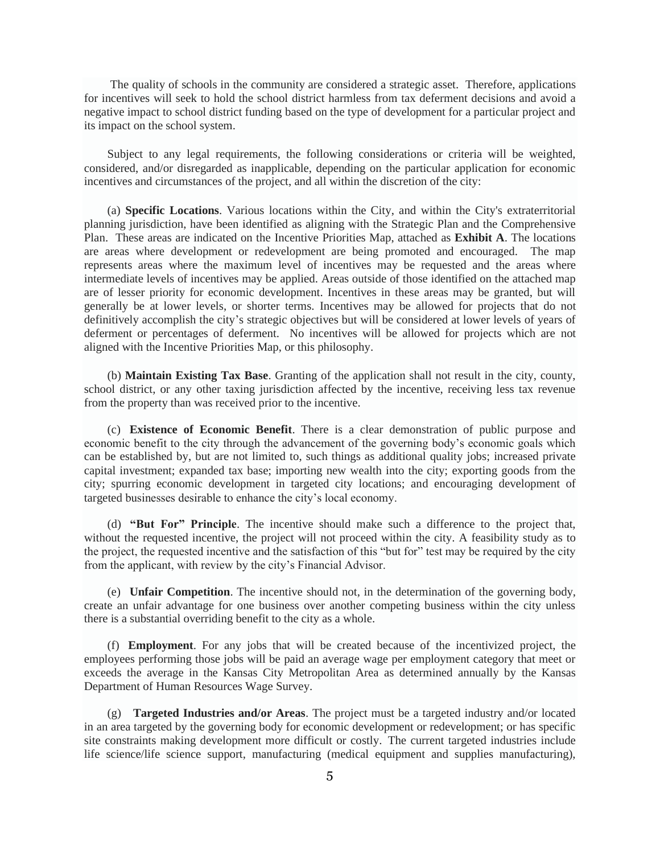The quality of schools in the community are considered a strategic asset. Therefore, applications for incentives will seek to hold the school district harmless from tax deferment decisions and avoid a negative impact to school district funding based on the type of development for a particular project and its impact on the school system.

Subject to any legal requirements, the following considerations or criteria will be weighted, considered, and/or disregarded as inapplicable, depending on the particular application for economic incentives and circumstances of the project, and all within the discretion of the city:

(a) **Specific Locations**. Various locations within the City, and within the City's extraterritorial planning jurisdiction, have been identified as aligning with the Strategic Plan and the Comprehensive Plan. These areas are indicated on the Incentive Priorities Map, attached as **Exhibit A**. The locations are areas where development or redevelopment are being promoted and encouraged. The map represents areas where the maximum level of incentives may be requested and the areas where intermediate levels of incentives may be applied. Areas outside of those identified on the attached map are of lesser priority for economic development. Incentives in these areas may be granted, but will generally be at lower levels, or shorter terms. Incentives may be allowed for projects that do not definitively accomplish the city's strategic objectives but will be considered at lower levels of years of deferment or percentages of deferment. No incentives will be allowed for projects which are not aligned with the Incentive Priorities Map, or this philosophy.

(b) **Maintain Existing Tax Base**. Granting of the application shall not result in the city, county, school district, or any other taxing jurisdiction affected by the incentive, receiving less tax revenue from the property than was received prior to the incentive.

(c) **Existence of Economic Benefit**. There is a clear demonstration of public purpose and economic benefit to the city through the advancement of the governing body's economic goals which can be established by, but are not limited to, such things as additional quality jobs; increased private capital investment; expanded tax base; importing new wealth into the city; exporting goods from the city; spurring economic development in targeted city locations; and encouraging development of targeted businesses desirable to enhance the city's local economy.

(d) **"But For" Principle**. The incentive should make such a difference to the project that, without the requested incentive, the project will not proceed within the city. A feasibility study as to the project, the requested incentive and the satisfaction of this "but for" test may be required by the city from the applicant, with review by the city's Financial Advisor.

(e) **Unfair Competition**. The incentive should not, in the determination of the governing body, create an unfair advantage for one business over another competing business within the city unless there is a substantial overriding benefit to the city as a whole.

(f) **Employment**. For any jobs that will be created because of the incentivized project, the employees performing those jobs will be paid an average wage per employment category that meet or exceeds the average in the Kansas City Metropolitan Area as determined annually by the Kansas Department of Human Resources Wage Survey.

(g) **Targeted Industries and/or Areas**. The project must be a targeted industry and/or located in an area targeted by the governing body for economic development or redevelopment; or has specific site constraints making development more difficult or costly. The current targeted industries include life science/life science support, manufacturing (medical equipment and supplies manufacturing),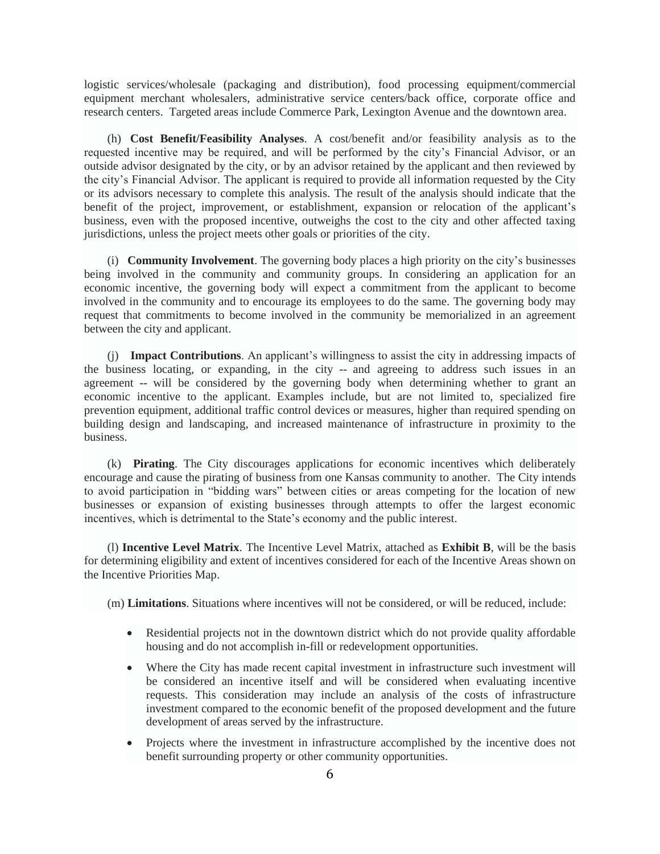logistic services/wholesale (packaging and distribution), food processing equipment/commercial equipment merchant wholesalers, administrative service centers/back office, corporate office and research centers. Targeted areas include Commerce Park, Lexington Avenue and the downtown area.

(h) **Cost Benefit/Feasibility Analyses**. A cost/benefit and/or feasibility analysis as to the requested incentive may be required, and will be performed by the city's Financial Advisor, or an outside advisor designated by the city, or by an advisor retained by the applicant and then reviewed by the city's Financial Advisor. The applicant is required to provide all information requested by the City or its advisors necessary to complete this analysis. The result of the analysis should indicate that the benefit of the project, improvement, or establishment, expansion or relocation of the applicant's business, even with the proposed incentive, outweighs the cost to the city and other affected taxing jurisdictions, unless the project meets other goals or priorities of the city.

(i) **Community Involvement**. The governing body places a high priority on the city's businesses being involved in the community and community groups. In considering an application for an economic incentive, the governing body will expect a commitment from the applicant to become involved in the community and to encourage its employees to do the same. The governing body may request that commitments to become involved in the community be memorialized in an agreement between the city and applicant.

(j) **Impact Contributions**. An applicant's willingness to assist the city in addressing impacts of the business locating, or expanding, in the city -- and agreeing to address such issues in an agreement -- will be considered by the governing body when determining whether to grant an economic incentive to the applicant. Examples include, but are not limited to, specialized fire prevention equipment, additional traffic control devices or measures, higher than required spending on building design and landscaping, and increased maintenance of infrastructure in proximity to the business.

(k) **Pirating**. The City discourages applications for economic incentives which deliberately encourage and cause the pirating of business from one Kansas community to another. The City intends to avoid participation in "bidding wars" between cities or areas competing for the location of new businesses or expansion of existing businesses through attempts to offer the largest economic incentives, which is detrimental to the State's economy and the public interest.

(l) **Incentive Level Matrix**. The Incentive Level Matrix, attached as **Exhibit B**, will be the basis for determining eligibility and extent of incentives considered for each of the Incentive Areas shown on the Incentive Priorities Map.

(m) **Limitations**. Situations where incentives will not be considered, or will be reduced, include:

- Residential projects not in the downtown district which do not provide quality affordable housing and do not accomplish in-fill or redevelopment opportunities.
- Where the City has made recent capital investment in infrastructure such investment will be considered an incentive itself and will be considered when evaluating incentive requests. This consideration may include an analysis of the costs of infrastructure investment compared to the economic benefit of the proposed development and the future development of areas served by the infrastructure.
- Projects where the investment in infrastructure accomplished by the incentive does not benefit surrounding property or other community opportunities.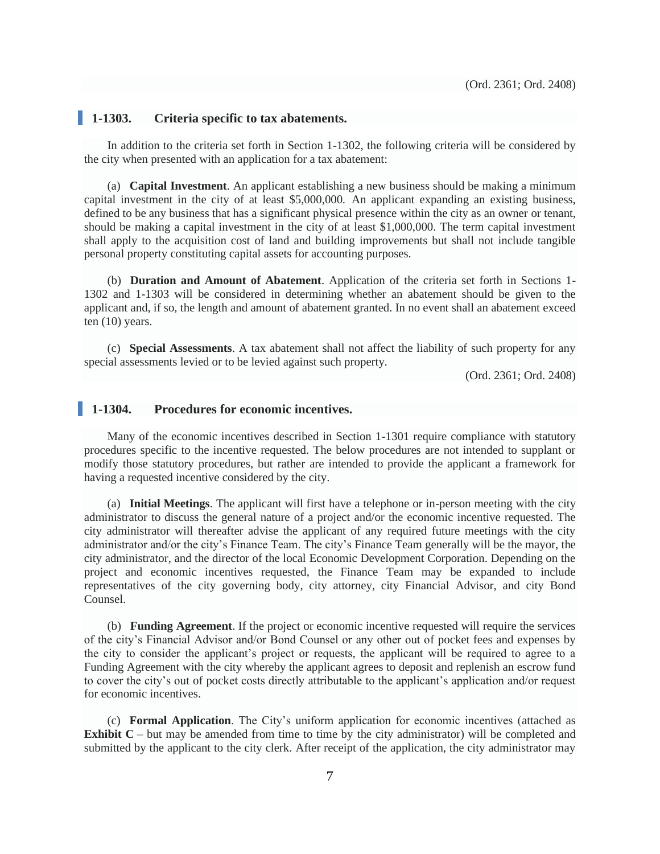### **1-1303. Criteria specific to tax abatements.**

In addition to the criteria set forth in Section 1-1302, the following criteria will be considered by the city when presented with an application for a tax abatement:

(a) **Capital Investment**. An applicant establishing a new business should be making a minimum capital investment in the city of at least \$5,000,000. An applicant expanding an existing business, defined to be any business that has a significant physical presence within the city as an owner or tenant, should be making a capital investment in the city of at least \$1,000,000. The term capital investment shall apply to the acquisition cost of land and building improvements but shall not include tangible personal property constituting capital assets for accounting purposes.

(b) **Duration and Amount of Abatement**. Application of the criteria set forth in Sections 1- 1302 and 1-1303 will be considered in determining whether an abatement should be given to the applicant and, if so, the length and amount of abatement granted. In no event shall an abatement exceed ten (10) years.

(c) **Special Assessments**. A tax abatement shall not affect the liability of such property for any special assessments levied or to be levied against such property.

(Ord. 2361; Ord. 2408)

### **1-1304. Procedures for economic incentives.**

Many of the economic incentives described in Section 1-1301 require compliance with statutory procedures specific to the incentive requested. The below procedures are not intended to supplant or modify those statutory procedures, but rather are intended to provide the applicant a framework for having a requested incentive considered by the city.

(a) **Initial Meetings**. The applicant will first have a telephone or in-person meeting with the city administrator to discuss the general nature of a project and/or the economic incentive requested. The city administrator will thereafter advise the applicant of any required future meetings with the city administrator and/or the city's Finance Team. The city's Finance Team generally will be the mayor, the city administrator, and the director of the local Economic Development Corporation. Depending on the project and economic incentives requested, the Finance Team may be expanded to include representatives of the city governing body, city attorney, city Financial Advisor, and city Bond Counsel.

(b) **Funding Agreement**. If the project or economic incentive requested will require the services of the city's Financial Advisor and/or Bond Counsel or any other out of pocket fees and expenses by the city to consider the applicant's project or requests, the applicant will be required to agree to a Funding Agreement with the city whereby the applicant agrees to deposit and replenish an escrow fund to cover the city's out of pocket costs directly attributable to the applicant's application and/or request for economic incentives.

(c) **Formal Application**. The City's uniform application for economic incentives (attached as **Exhibit C** – but may be amended from time to time by the city administrator) will be completed and submitted by the applicant to the city clerk. After receipt of the application, the city administrator may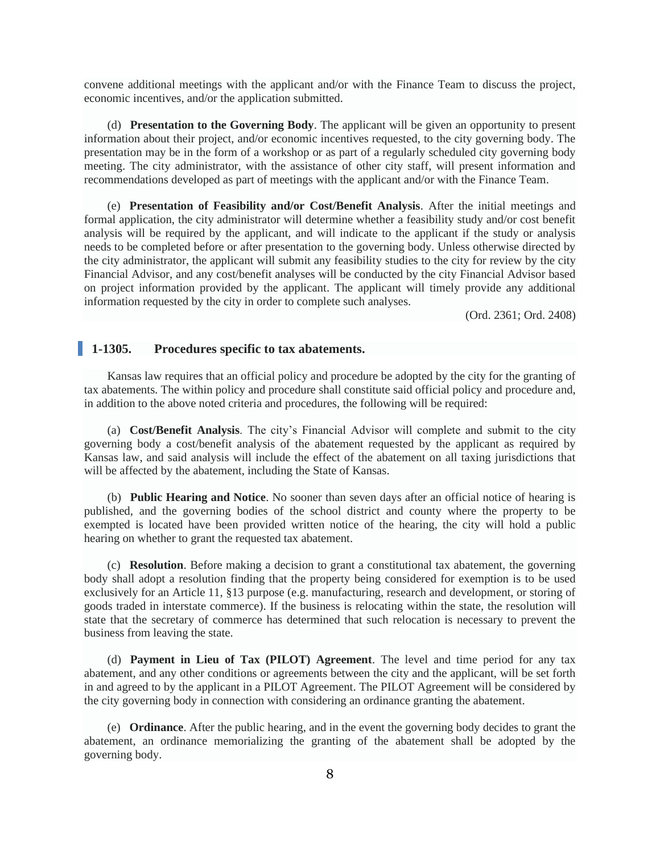convene additional meetings with the applicant and/or with the Finance Team to discuss the project, economic incentives, and/or the application submitted.

(d) **Presentation to the Governing Body**. The applicant will be given an opportunity to present information about their project, and/or economic incentives requested, to the city governing body. The presentation may be in the form of a workshop or as part of a regularly scheduled city governing body meeting. The city administrator, with the assistance of other city staff, will present information and recommendations developed as part of meetings with the applicant and/or with the Finance Team.

(e) **Presentation of Feasibility and/or Cost/Benefit Analysis**. After the initial meetings and formal application, the city administrator will determine whether a feasibility study and/or cost benefit analysis will be required by the applicant, and will indicate to the applicant if the study or analysis needs to be completed before or after presentation to the governing body. Unless otherwise directed by the city administrator, the applicant will submit any feasibility studies to the city for review by the city Financial Advisor, and any cost/benefit analyses will be conducted by the city Financial Advisor based on project information provided by the applicant. The applicant will timely provide any additional information requested by the city in order to complete such analyses.

(Ord. 2361; Ord. 2408)

#### **1-1305. Procedures specific to tax abatements.**

Kansas law requires that an official policy and procedure be adopted by the city for the granting of tax abatements. The within policy and procedure shall constitute said official policy and procedure and, in addition to the above noted criteria and procedures, the following will be required:

(a) **Cost/Benefit Analysis**. The city's Financial Advisor will complete and submit to the city governing body a cost/benefit analysis of the abatement requested by the applicant as required by Kansas law, and said analysis will include the effect of the abatement on all taxing jurisdictions that will be affected by the abatement, including the State of Kansas.

(b) **Public Hearing and Notice**. No sooner than seven days after an official notice of hearing is published, and the governing bodies of the school district and county where the property to be exempted is located have been provided written notice of the hearing, the city will hold a public hearing on whether to grant the requested tax abatement.

(c) **Resolution**. Before making a decision to grant a constitutional tax abatement, the governing body shall adopt a resolution finding that the property being considered for exemption is to be used exclusively for an Article 11, §13 purpose (e.g. manufacturing, research and development, or storing of goods traded in interstate commerce). If the business is relocating within the state, the resolution will state that the secretary of commerce has determined that such relocation is necessary to prevent the business from leaving the state.

(d) **Payment in Lieu of Tax (PILOT) Agreement**. The level and time period for any tax abatement, and any other conditions or agreements between the city and the applicant, will be set forth in and agreed to by the applicant in a PILOT Agreement. The PILOT Agreement will be considered by the city governing body in connection with considering an ordinance granting the abatement.

(e) **Ordinance**. After the public hearing, and in the event the governing body decides to grant the abatement, an ordinance memorializing the granting of the abatement shall be adopted by the governing body.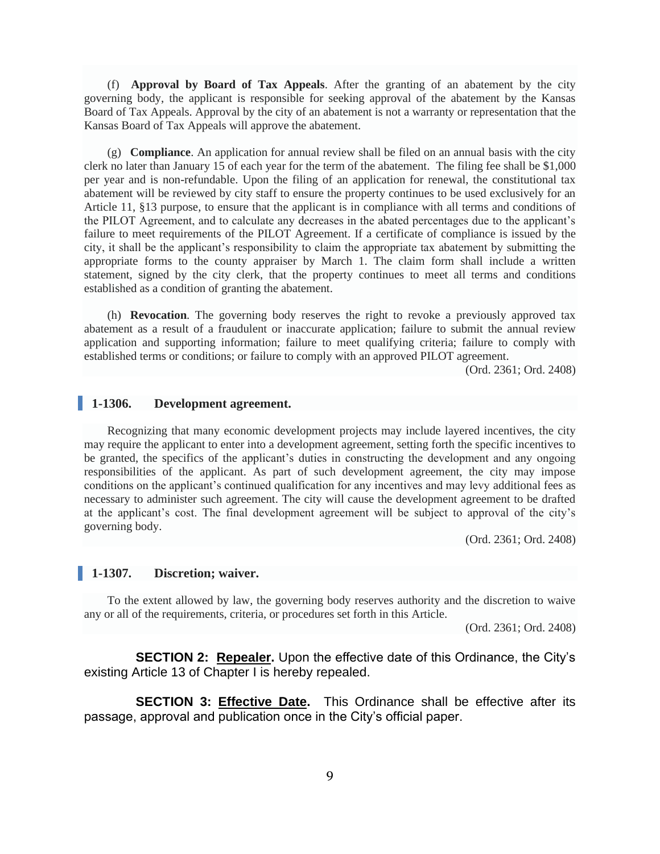(f) **Approval by Board of Tax Appeals**. After the granting of an abatement by the city governing body, the applicant is responsible for seeking approval of the abatement by the Kansas Board of Tax Appeals. Approval by the city of an abatement is not a warranty or representation that the Kansas Board of Tax Appeals will approve the abatement.

(g) **Compliance**. An application for annual review shall be filed on an annual basis with the city clerk no later than January 15 of each year for the term of the abatement. The filing fee shall be \$1,000 per year and is non-refundable. Upon the filing of an application for renewal, the constitutional tax abatement will be reviewed by city staff to ensure the property continues to be used exclusively for an Article 11, §13 purpose, to ensure that the applicant is in compliance with all terms and conditions of the PILOT Agreement, and to calculate any decreases in the abated percentages due to the applicant's failure to meet requirements of the PILOT Agreement. If a certificate of compliance is issued by the city, it shall be the applicant's responsibility to claim the appropriate tax abatement by submitting the appropriate forms to the county appraiser by March 1. The claim form shall include a written statement, signed by the city clerk, that the property continues to meet all terms and conditions established as a condition of granting the abatement.

(h) **Revocation**. The governing body reserves the right to revoke a previously approved tax abatement as a result of a fraudulent or inaccurate application; failure to submit the annual review application and supporting information; failure to meet qualifying criteria; failure to comply with established terms or conditions; or failure to comply with an approved PILOT agreement.

(Ord. 2361; Ord. 2408)

# **1-1306. Development agreement.**

Recognizing that many economic development projects may include layered incentives, the city may require the applicant to enter into a development agreement, setting forth the specific incentives to be granted, the specifics of the applicant's duties in constructing the development and any ongoing responsibilities of the applicant. As part of such development agreement, the city may impose conditions on the applicant's continued qualification for any incentives and may levy additional fees as necessary to administer such agreement. The city will cause the development agreement to be drafted at the applicant's cost. The final development agreement will be subject to approval of the city's governing body.

(Ord. 2361; Ord. 2408)

# **1-1307. Discretion; waiver.**

To the extent allowed by law, the governing body reserves authority and the discretion to waive any or all of the requirements, criteria, or procedures set forth in this Article.

(Ord. 2361; Ord. 2408)

**SECTION 2: Repealer.** Upon the effective date of this Ordinance, the City's existing Article 13 of Chapter I is hereby repealed.

**SECTION 3: Effective Date.** This Ordinance shall be effective after its passage, approval and publication once in the City's official paper.